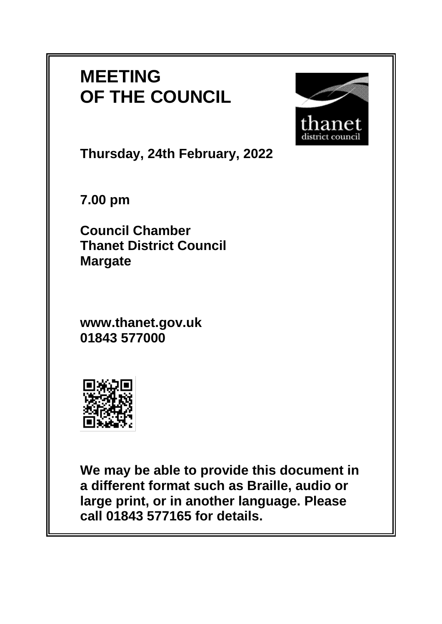# **MEETING OF THE COUNCIL**



**Thursday, 24th February, 2022**

**7.00 pm**

**Council Chamber Thanet District Council Margate**

**www.thanet.gov.uk 01843 577000**



**We may be able to provide this document in a different format such as Braille, audio or large print, or in another language. Please call 01843 577165 for details.**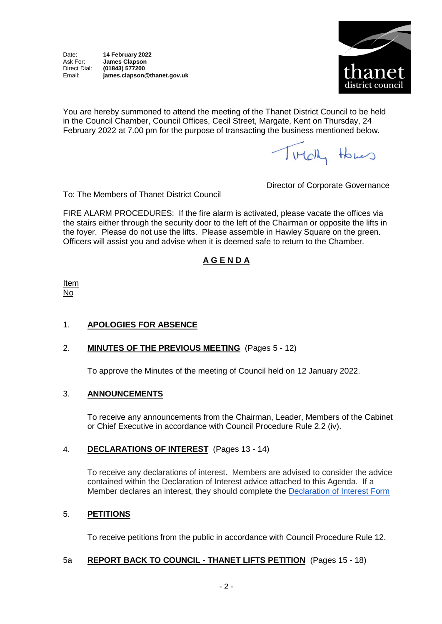

You are hereby summoned to attend the meeting of the Thanet District Council to be held in the Council Chamber, Council Offices, Cecil Street, Margate, Kent on Thursday, 24 February 2022 at 7.00 pm for the purpose of transacting the business mentioned below.

TIMOTY Homes

To: The Members of Thanet District Council

Director of Corporate Governance

FIRE ALARM PROCEDURES: If the fire alarm is activated, please vacate the offices via the stairs either through the security door to the left of the Chairman or opposite the lifts in the foyer. Please do not use the lifts. Please assemble in Hawley Square on the green. Officers will assist you and advise when it is deemed safe to return to the Chamber.

## **A G E N D A**

Item No

## 1. **APOLOGIES FOR ABSENCE**

## 2. **MINUTES OF THE PREVIOUS MEETING** (Pages 5 - 12)

To approve the Minutes of the meeting of Council held on 12 January 2022.

## 3. **ANNOUNCEMENTS**

To receive any announcements from the Chairman, Leader, Members of the Cabinet or Chief Executive in accordance with Council Procedure Rule 2.2 (iv).

## 4. **DECLARATIONS OF INTEREST** (Pages 13 - 14)

To receive any declarations of interest. Members are advised to consider the advice contained within the Declaration of Interest advice attached to this Agenda. If a Member declares an interest, they should complete the [Declaration of Interest Form](https://docs.google.com/forms/d/e/1FAIpQLSdYy7shF1kh6tvdSh3acxVRm70cKPLFkRBFNyVx2TgejRcm4w/viewform?usp=sf_link)

## 5. **PETITIONS**

To receive petitions from the public in accordance with Council Procedure Rule 12.

#### 5a **REPORT BACK TO COUNCIL - THANET LIFTS PETITION** (Pages 15 - 18)